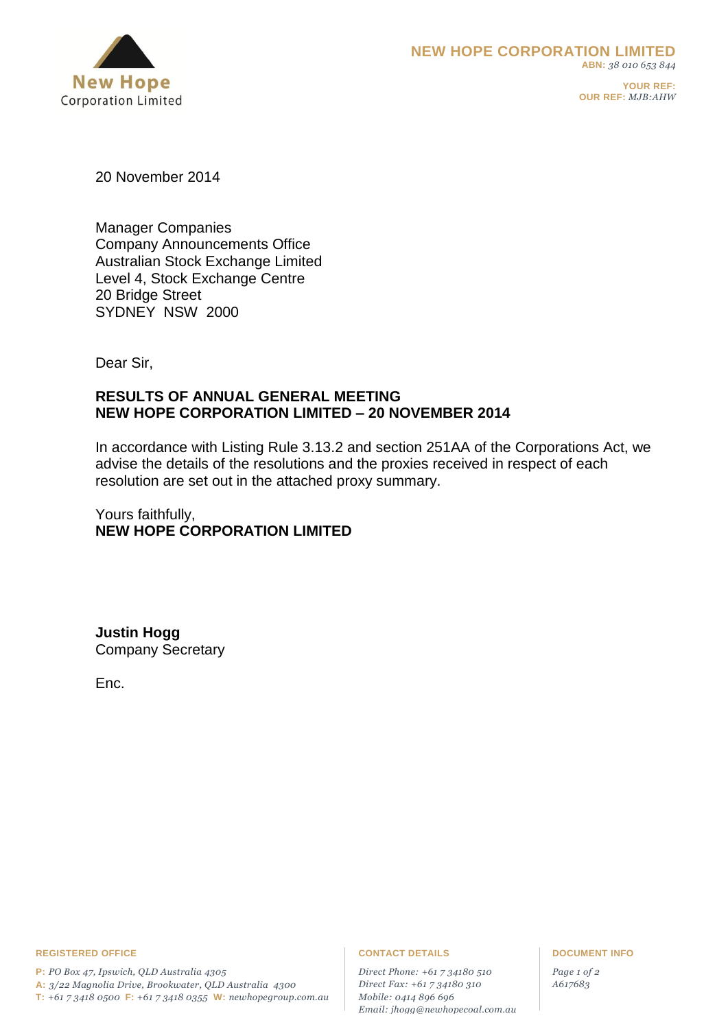

**YOUR REF: OUR REF:** *MJB:AHW*

20 November 2014

Manager Companies Company Announcements Office Australian Stock Exchange Limited Level 4, Stock Exchange Centre 20 Bridge Street SYDNEY NSW 2000

Dear Sir,

# **RESULTS OF ANNUAL GENERAL MEETING NEW HOPE CORPORATION LIMITED – 20 NOVEMBER 2014**

In accordance with Listing Rule 3.13.2 and section 251AA of the Corporations Act, we advise the details of the resolutions and the proxies received in respect of each resolution are set out in the attached proxy summary.

Yours faithfully, **NEW HOPE CORPORATION LIMITED**

**Justin Hogg** Company Secretary

Enc.

### **REGISTERED OFFICE CONTACT DETAILS DOCUMENT INFO**

**P:** *PO Box 47, Ipswich, QLD Australia 4305*  **A:** *3/22 Magnolia Drive, Brookwater, QLD Australia 4300* **T:** *+61 7 3418 0500* **F:** *+61 7 3418 0355* **W:** *newhopegroup.com.au*

*Direct Phone: +61 7 34180 510 Direct Fax: +61 7 34180 310 Mobile: 0414 896 696 Email: jhogg@newhopecoal.com.au*

*Page 1 of 2 A617683*